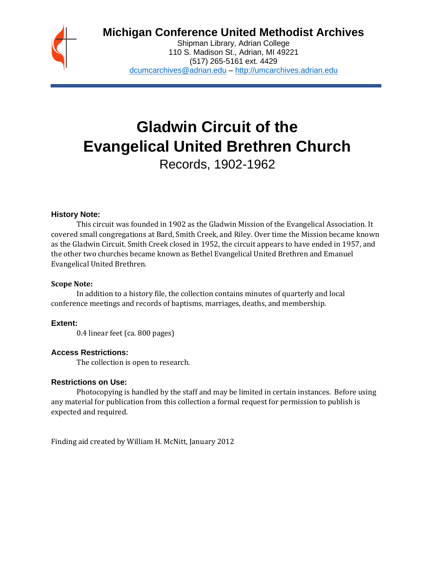

# **Michigan Conference United Methodist Archives**

Shipman Library, Adrian College 110 S. Madison St., Adrian, MI 49221 (517) 265-5161 ext. 4429 [dcumcarchives@adrian.edu](mailto:dcumcarchives@adrian.edu) – [http://umcarchives.adrian.edu](http://umcarchives.adrian.edu/)

# **Gladwin Circuit of the Evangelical United Brethren Church**

Records, 1902-1962

# **History Note:**

This circuit was founded in 1902 as the Gladwin Mission of the Evangelical Association. It covered small congregations at Bard, Smith Creek, and Riley. Over time the Mission became known as the Gladwin Circuit. Smith Creek closed in 1952, the circuit appears to have ended in 1957, and the other two churches became known as Bethel Evangelical United Brethren and Emanuel Evangelical United Brethren.

#### **Scope Note:**

In addition to a history file, the collection contains minutes of quarterly and local conference meetings and records of baptisms, marriages, deaths, and membership.

# **Extent:**

0.4 linear feet (ca. 800 pages)

# **Access Restrictions:**

The collection is open to research.

#### **Restrictions on Use:**

Photocopying is handled by the staff and may be limited in certain instances. Before using any material for publication from this collection a formal request for permission to publish is expected and required.

Finding aid created by William H. McNitt, January 2012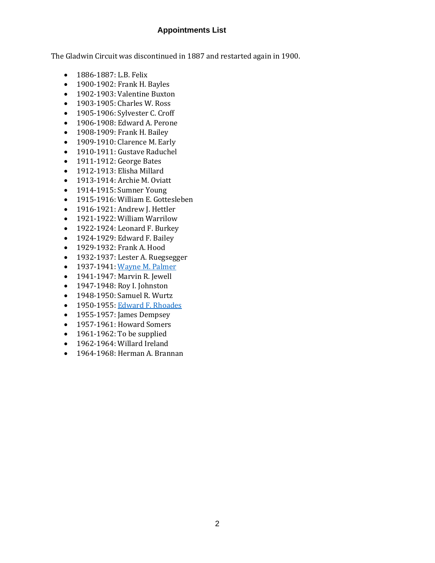# **Appointments List**

The Gladwin Circuit was discontinued in 1887 and restarted again in 1900.

- 1886-1887: L.B. Felix
- 1900-1902: Frank H. Bayles
- 1902-1903: Valentine Buxton
- 1903-1905: Charles W. Ross
- 1905-1906: Sylvester C. Croff
- 1906-1908: Edward A. Perone
- 1908-1909: Frank H. Bailey
- 1909-1910: Clarence M. Early
- 1910-1911: Gustave Raduchel
- 1911-1912: George Bates
- 1912-1913: Elisha Millard
- 1913-1914: Archie M. Oviatt
- 1914-1915: Sumner Young
- 1915-1916: William E. Gottesleben
- 1916-1921: Andrew J. Hettler
- 1921-1922: William Warrilow
- 1922-1924: Leonard F. Burkey
- 1924-1929: Edward F. Bailey
- 1929-1932: Frank A. Hood
- 1932-1937: Lester A. Ruegsegger
- 1937-1941[: Wayne M. Palmer](http://umcarchives.adrian.edu/clergy/palmerwm.php)
- 1941-1947: Marvin R. Jewell
- 1947-1948: Roy I. Johnston
- 1948-1950: Samuel R. Wurtz
- 1950-1955[: Edward F. Rhoades](http://umcarchives.adrian.edu/clergy/rhoadesef.php)
- 1955-1957: James Dempsey
- 1957-1961: Howard Somers
- 1961-1962: To be supplied
- 1962-1964: Willard Ireland
- 1964-1968: Herman A. Brannan